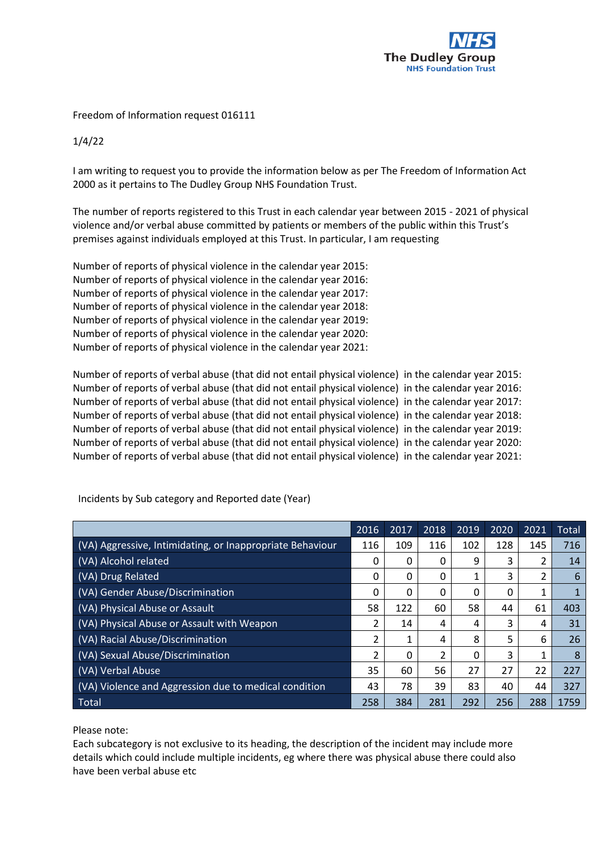

Freedom of Information request 016111

1/4/22

I am writing to request you to provide the information below as per The Freedom of Information Act 2000 as it pertains to The Dudley Group NHS Foundation Trust.

The number of reports registered to this Trust in each calendar year between 2015 - 2021 of physical violence and/or verbal abuse committed by patients or members of the public within this Trust's premises against individuals employed at this Trust. In particular, I am requesting

Number of reports of physical violence in the calendar year 2015: Number of reports of physical violence in the calendar year 2016: Number of reports of physical violence in the calendar year 2017: Number of reports of physical violence in the calendar year 2018: Number of reports of physical violence in the calendar year 2019: Number of reports of physical violence in the calendar year 2020: Number of reports of physical violence in the calendar year 2021:

Number of reports of verbal abuse (that did not entail physical violence) in the calendar year 2015: Number of reports of verbal abuse (that did not entail physical violence) in the calendar year 2016: Number of reports of verbal abuse (that did not entail physical violence) in the calendar year 2017: Number of reports of verbal abuse (that did not entail physical violence) in the calendar year 2018: Number of reports of verbal abuse (that did not entail physical violence) in the calendar year 2019: Number of reports of verbal abuse (that did not entail physical violence) in the calendar year 2020: Number of reports of verbal abuse (that did not entail physical violence) in the calendar year 2021:

|                                                           | 2016 | 2017 | 2018 | 2019 | 2020 | 2021 | <b>Total</b> |
|-----------------------------------------------------------|------|------|------|------|------|------|--------------|
| (VA) Aggressive, Intimidating, or Inappropriate Behaviour | 116  | 109  | 116  | 102  | 128  | 145  | 716          |
| (VA) Alcohol related                                      | 0    | 0    | 0    | 9    | 3    |      | 14           |
| (VA) Drug Related                                         | 0    | 0    | 0    |      | 3    |      | 6            |
| (VA) Gender Abuse/Discrimination                          | 0    | 0    | 0    | 0    | 0    |      |              |
| (VA) Physical Abuse or Assault                            | 58   | 122  | 60   | 58   | 44   | 61   | 403          |
| (VA) Physical Abuse or Assault with Weapon                | 2    | 14   | 4    | 4    | 3    | 4    | 31           |
| (VA) Racial Abuse/Discrimination                          | 2    | 1    | 4    | 8    | 5    | 6    | 26           |
| (VA) Sexual Abuse/Discrimination                          | 2    | 0    | 2    | 0    | 3    |      | 8            |
| (VA) Verbal Abuse                                         | 35   | 60   | 56   | 27   | 27   | 22   | 227          |
| (VA) Violence and Aggression due to medical condition     | 43   | 78   | 39   | 83   | 40   | 44   | 327          |
| Total                                                     | 258  | 384  | 281  | 292  | 256  | 288  | 1759         |

Incidents by Sub category and Reported date (Year)

Please note:

Each subcategory is not exclusive to its heading, the description of the incident may include more details which could include multiple incidents, eg where there was physical abuse there could also have been verbal abuse etc